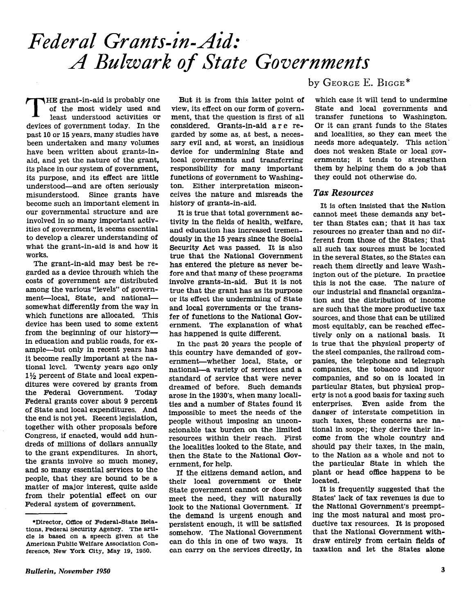THE grant-in-aid is probably one of the most widely used and least understood activities or devices of government today. In the past 10 or 15 years, many studies have been undertaken and many volumes have been written about grants-inaid, and yet the nature of the grant, its place in our system of government, its purpose, and its effect are little understood-and are often seriously misunderstood. Since grants have become such an important element in our governmental structure and are involved in so many important activities of government, it seems essential to develop a clearer understanding of what the grant-in-aid is and how it works.

The grant-in-aid may best be regarded as a device through which the costs of government are distributed among the various "levels" of government-local, State, and nationalsomewhat differently from the way in which functions are allocated. This device has been used to some extent from the beginning of our historyin education and public roads, for example-but only in recent years has it become really important at the national level. Twenty years ago only  $1\frac{1}{2}$  percent of State and local expenditures were covered by grants from the Federal Government. Today Federal grants cover about 9 percent of State and local expenditures. And the end is not yet. Recent legislation, together with other proposals before Congress, if enacted, would add hundreds of millions of dollars annually to the grant expenditures. In short, the grants involve so much money, and so many essential services to the people, that they are bound to be a matter of major interest, quite aside from their potential effect on our Federal system of government.

But it is from this latter point of view, its effect on our form of government, that the question is first of all considered. Grants-in-aid are regarded by some as, at best, a necessary evil and, at worst, an insidious device for undermining State and local governments and transferring responsibility for many important functions of government to Washington. Either interpretation misconceives the nature and misreads the history of grants-in-aid.

It is true that total government activity in the fields of health, welfare, and education has increased tremendously in the 15 years since the Social Security Act was passed. It is also true that the National Government has entered the picture as never before and that many of these programs involve grants-in-aid. But it is not true that the grant has as its purpose or its effect the undermining of State and local governments or the transfer of functions to the National Government. The explanation of what has happened is quite different.

In the past 20 years the people of this country have demanded of government-whether local, State, or national-a variety of services and a standard of service that were never dreamed of before. Such demands arose in the 1930's. when many localities and a number of States found it impossible to meet the needs of the people without imposing an unconscionable tax burden on the limited resources within their reach. First the localities looked to the State, and then the State to the National GoVernment, for help.

If the citizens demand action, and their local government or their State government cannot or does not meet the need, they will naturally look to the National Government. If the demand is urgent enough and persistent enough, it will be satisfied somehow. The National Government can do this in one of two ways. It can carry on the services directly, in

by GEORGE E. BIGGE\*

which case it will tend to undermine State and local governments and transfer functions to Washington. Or it can grant funds to the States and localities, so they can meet the needs more adequately. This action' does not weaken State or local governments: it tends to strengthen them by helping them do a job that they could not otherwise do.

## Tax Resources

It is often insisted that the Nation cannot meet these demands any better than States can; that it has tax resources no greater than and no different from those of the States; that all such tax sources must be located in the several States, so the States can reach them directly and leave Washington out of the picture. In practice this is not the case. The nature of our industrial and financial organization and the distribution of income are such that the more productive tax sources, and those that can be utilized most equitably, can be reached effectively only on a national basis. It is true that the physical property of the steel companies, the railroad companies, the telephone and telegraph companies, the tobacco and liquor companies, and so on is located in particular States, but physical property is not a good basis for taxing such enterprises. Even aside from the danger of interstate competition in such taxes, these concerns are national in scope; they derive their income from the whole country and should pay their taxes, in the main, to the Nation as a whole and not to the particular State in which the plant or head office happens to be located.

It is frequently suggested that the States' lack of tax revenues is due to the National Government's preempting the most natural and most productive tax resources. It is proposed that the National Government withdraw entirely from certain flelds of taxation and let the States alone

<sup>\*</sup>Director, Office of Federal-State Relations, Federal Security Agency. The article is based on a speech given at the American Public Welfare Association Conference, New York City, May 19, 1950.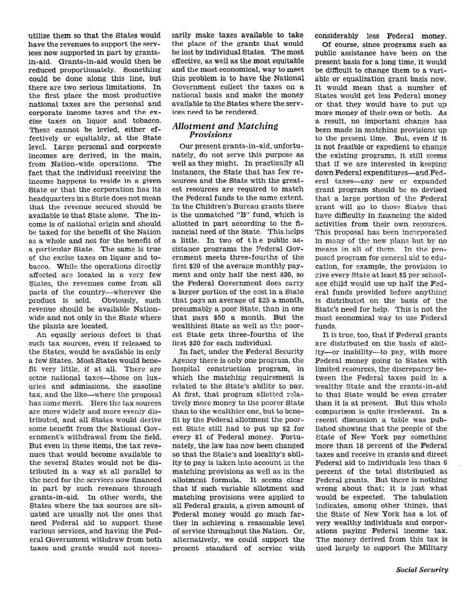utilize them so that the States would have the revenues to support the services now supported in part by grantsin-aid. Grants-in-aid would then be reduced proportionately. Something could be done along this line, but there are two serious limitations. In the first place the most productive national taxes are the personal and corporate income taxes and the excise taxes on liquor and tobacco. These cannot be levied, either effectively or equitably, at the State level. Large personal and corporate incomes are derived, in the main, from Nation-wide operations. The fact that the individual receiving the income happens to reside in a given State or that the corporation has its headquarters in a State does not mean that the revenue secured should be available to that State alone. The income is of national origin and should be taxed for the benefit of the Nation as a whole and not for the benefit of a particular State. The same is true of the excise taxes on liquor and tobacco. While the operations directly affected are located in a very few States, the revenues come from all parts of the country-wherever the product is sold. Obviously, such revenue should be available Nationwide and not only in the State where the plants are located.

An equally serious defect is that such tax sources, even if released to the States, would be available in only a few States. Most States would benefit very little, if at all. There are scme national taxes--those on luxuries and admissions, the gasoline tax, and the like-where the proposal has some merit. Here the tax sources are more widely and more evenly distributed, and all States would derive some benefit from the National Government's withdrawal from the field. But even in these items, the tax revenues that would become available to the several States would not be distributed in a way at all parallel to the need for the services now financed in part by such revenues through grants-in-aid. In other words, the States where the tax sources are situated are usually not the ones that need Federal aid to support these various services, and having the Federal Government withdraw from both taxes and grants would not necessarily make taxes available to take the place of the grants that would be lost by individual States. The most effective, as well as the most equitable and the most economical, way to meet this problem is to have the National Government collect the taxes on a national basis and make the money available to the States where the services need to be rendered.

# Allotment and Matching Provisions

Our present grants-in-aid, unfortunately, do not serve this purpose as well as they might. In practically all instances, the State that has few resources and the State with the greatest resources are required to match the Federal funds to the same extent. In the Children's Bureau grants there is the unmatched "B" fund, which is allotted in part according to the financial need of the State. This helps a little. In two of the public assistance programs the Federal Government meets three-fourths of the first \$20 of the average monthly payment and only half the next \$30, so the Federal Government does carry a larger portion of the cost in a State that pays an average of \$25 a month, presumably a poor State, than in one that pays \$50 a month. But the wealthiest State as well as the poorest State gets three-fourths of the first \$20 for each individual.

In fact, under the Federal Security Agency there is only one program, the hospital construction program, in which the matching requirement is related to the State's ability to pay. At first, that program allotted relatively more money to the poorer State than to the wealthier one, but to benefit by the Federal allotment the poorest State still had to put up \$2 for every \$1 of Federal money. Fortunately, the law has now been changed so that the State's and locality's ability to pay is taken into account in the matching provisions as well as in the allotment formula. It seems clear that if such variable allotment and matching provisions were applied to all Federal grants, a given amount of Federal money would go much farther in achieving a reasonable level of service throughout the Nation. Or, alternatively, we could support the present standard of service with considerably less Federal money.

Of course, since programs such as public assistance have been on the present basis for a long time, it would be difficult to change them to a variable or equalization grant basis now. It would mean that a number of States would get less Federal money or that they would have to put up more money of their own or both. As a result, no important change has been made in matching provisions up to the present time. But, even if it is not feasible or expedient to change the existing programs, it still seems that if we are interested in keeping down Federal expenditures-and Federal taxes-any new or expanded grant program should be so devised that a large portion of the Federal grant will go to those States that have difficulty in financing the aided activities from their own resources. This proposal has been incorporated in many of the new plans but by no means in all of them. In the proposed program for general aid to education, for example, the provision to give every State at least \$5 per schoolage child would use up half the Federal funds provided before anything is distributed on the basis of the State's need for help. This is not tine most economical way to use Federal funds.

It is true, too, that if Federal grants are distributed on the basis of ability-or inability-to pay, with more Federal money going to States with limited resources, the discrepancy between the Federal taxes paid in a wealthy State and the grants-in-aid to that State would be even greater than it is at present. But this whole comparison is quite irrelevant. In a recent discussion a table was published showing that the people of the State of New York pay something more than 18 percent of the Federal taxes and receive in grants and direct Federal aid to individuals less than 6 percent of the total distributed as Federal grants. But there is nothing wrong about that; it is just what would be expected. The tabulation indicates, among other things, that the State of New York has a lot of very wealthy individuals and corporations paying Federal income tax. The money derived from this tax is used largely to support the Military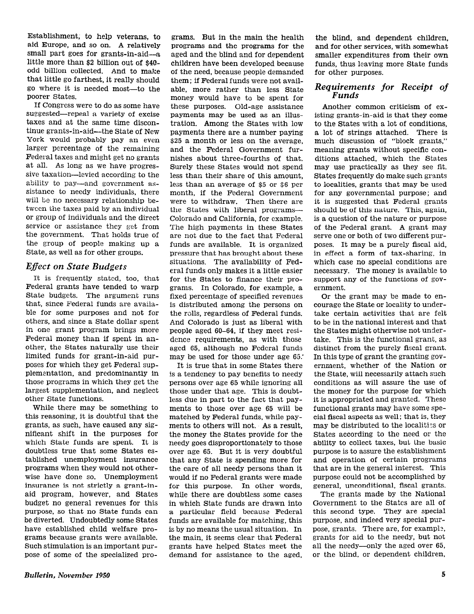Establishment, to help veterans, to aid Europe, and so on. A relatively small part goes for grants-in-aid- $a$ little more than \$2 billion out of \$4Qodd billion collected. And to make that little go farthest, it really should go where it is needed most-to the poorer States.

If Congress were to do as some have suggested-repeal a variety of excise taxes and at the same time discontinue grants-in-aid---the State of New York would probably pay an even larger percentage of the remaining Federal taxes and might get no grants at all. As long as we have progressive taxation-levied according to the ability to pay—and government assistance to needy individuals, there will be no necessary relationship between the taxes paid by an individual or group of individuals and the direct service or assistance they get from the government. That holds true of the group of people making up a State, as well as for other groups.

# **Effect on State Budgets**

It is frequently stated, too, that Federal grants have tended to warp State budgets. The argument runs that, since Federal funds are available for some purposes and not for others, and since a State dollar spent in one grant program brings more Federal money than if spent in another, the States naturally use their limited funds for grant-in-aid purposes for which they get Federal supplementation, and predominantly in those programs in which they get the largest supplementation, and neglect other State functions.

While there may be something to this reasoning, it is doubtful that the grants, as such, have caused any significant shift in the purposes for which State funds are spent. It is doubtless true that some States established unemployment insurance programs when they would not otherwise have done so. Unemployment insurance is not strictly a grant-inaid program, however, and States budget no general revenues for this purpose, so that no State funds can be diverted. Undoubtedly some States have established child welfare programs because grants were available. Such stimulation is an important purpose of some of the specialized pro-

grams. But in the main the health Programs and the programs for the aged and the blind and for dependent children have been developed because of the need, because people demanded them; if Federal funds were not available, more rather than less State money would have to be spent for these purposes. Old-age assistance payments may be used as an illustration. Among the States with low payments there are a number paying \$25 a month or less on the average, and the Federal Government furnishes about three-fourths of that. Surely these States would not spend less than their share of this amount, less than an average of \$5 or \$6 per month, if the Federal Government were to withdraw. Then there are the States with liberal programs-Colorado and California, for example. The high payments in these States are not due to the fact that Federal funds are available. It is organized pressure that has brought about these situations. The availability of Federal funds only makes it a little easier for the States to finance their programs. In Colorado, for example, a fixed percentage of specified revenues is distributed among the persons on the rolls, regardless of Federal funds. And Colorado is just as liberal with people aged 60-64, if they meet residence requirements, as with those aged 65, although no Federal funds may be used for those under age 65.'

It is true that in some States there is a tendency to pay benefits to needy persons over age 65 while ignoring all those under that age. This is doubtless due in part to the fact that payments to those over age 65 will be matched by Federal funds, while payments to others will not. As a result, the money the States provide for the needy goes disproportionately to those over age 65. But it is very doubtful that any State is spending more for the care of all needy persons than it would if no Federal grants were made for this purpose. In other words, while there are doubtless some cases in which State funds are drawn into a particular field because Federal funds are available for matching, this is by no means the usual situation. In the main, it seems clear that Federal grants have helped States meet the demand for assistance to the aged,

the blind, and dependent children, and for other services, with somewhat smaller expenditures from their own funds, thus leaving more State funds for other purposes.

# Requirements for Receipt of<br>Funds

Another common criticism of existing grants-in-aid is that they come to the States with a lot of conditions, a lot of strings attached. There is much discussion of "block grants," meaning grants without specific conditions attached, which the States may use practically as they see fit. States frequently do make such grants to localities, grants that may be used for any governmental purpose; and it is suggested that Federal grants should be of this nature. This, again, is a question of the nature or purpose of the Federal grant. A grant may serve one or both of two different purposes. It may be a purely fiscal aid, in effect a form of tax-sharing, in which case no special conditions are necessary. The money is available to support any of the functions of government.

Or the grant may be made to encourage the State or locality to undertake certain activities that are felt to be in the national interest and that the States might otherwise not undertake. This is the functional grant, as distinct from the purely fiscal grant. In this type of grant the granting government, whether of the Nation or the State, will necessarily attach such conditions as will assure the use of the money for the purpose for which it is appropriated and granted. These functional grants may have some special fiscal aspects as well ; that is, they may be distributed to the localities or States according to the need or the ability to collect taxes, but the basic purpose is to assure the establishment and operation of certain programs that are in the general interest. This purpose could not be accomplished by general, unconditional, fiscal grants.

The grants made by the National Government to the States are all of this second type. They are special purpose, and indeed very special purpose, grants. There are, for example, grants for aid to the needy, but not all the needy-only the aged over 65, or the blind, or dependent children,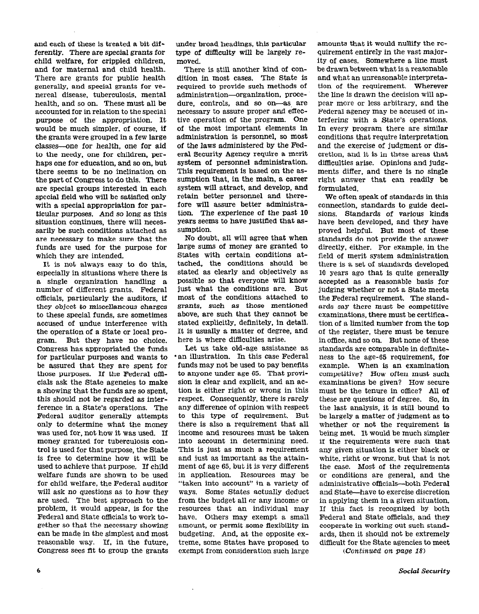and each of these is treated a bit differently. There are special grants for child welfare, for crippled children, and for maternal and child health. There are grants for public health generally, and special grants for venereal disease, tuberculosis, mental health, and so on. These must all be accounted for in relation to the special purpose of the appropriation. It would be much simpler, of course, if the grants were grouped in a few large classes--one for health, one for aid to the needy, one for children, perhaps one for education, and so on, but there seems to be no inclination on the part of Congress to do this. There are special groups interested in each special field who will be satisfied only with a special appropriation for particular purposes. And so long as this situation continues, there will necessarily be such conditions attached as are necessary to make sure that the funds are used for the purpose for which they are intended.

It is not always easy to do this, especially in situations where there is a single organization handling a number of different grants. Federal officials, particularly the auditors, if they object to miscellaneous charges to these special funds, are sometimes accused of undue interference with the operation of a State or local program. But they have no choice. Congress has appropriated the funds for particular purposes and wants to be assured that they are spent for those purposes. If the Federal officials ask the State agencies to make a showing that the funds are so spent, this should not be regarded as interference in a State's operations. The Federal auditor generally attempts only to determine what the money was used for, not how it was used. If money granted for tuberculosis control is used for that purpose, the State is free to determine how it will be used to achieve that purpose. If child welfare funds are shown to be used for child welfare, the Federal auditor will ask no questions as to how they are used. The best approach to the problem, it would appear, is for the Federal and State officials to work together so that the necessary showing can be made in the simpIest and most reasonable way. If, in the future, Congress sees fit to group the grants under broad headings, this particular type of difficulty will be largely removed.

There is still another kind of condition in most cases. The State iS required to provide such methods of administration-organization, procedure, controls, and so on-as are necessary to assure proper and effective operation of the program. One of the most important elements in administration is personnel, so most of the laws administered by the Federal Security Agency require a merit system of personnel administration. This requirement is based on the assumption that, in the main, a career system will attract, and develop, and retain better personnel and therefore will assure better administration. The experience of the past 10 years seems to have justified that assumption.

No doubt, all will agree that when large sums of money are granted to States with certain conditions attached, the conditions should be stated as clearly and objectively as possible so that everyone will know just what the conditions are. But most of the conditions attached to grants, such as those mentioned above, are such that they cannot be stated explicitly, definitely, in detail. It is usually a matter of degree, and here is where difficulties arise.

Let us take old-age assistance as \*an illustration. In this case Federal funds may not be used to pay benefits to anyone under age 65. That provision is clear and explicit, and an action is either right or wrong in this respect. Consequently, there is rarely any difference of opinion with respect to this type of requirement. But there is also a requirement that all income and resources must be taken into account in determining need. This is just as much a requirement and just as important as the attainment of age 65, but it is very different in application. Resources may be "taken into account" in a variety of ways. Some States actually deduct from the budget all or any income or resources that an individual may have. Others may exempt a small amount, or permit some flexibility in budgeting. And, at the opposite extreme, some States have proposed to exempt from consideration such large

amounts that it would nullify the requirement entirely in the vast majority of cases. Somewhere a line must be drawn between what is a reasonable and what an unreasonable interpretation of the requirement. Wherever the line is drawn the decision will appear more or less arbitrary, and the Federal agency may be accused of interfering with a State's operations. In every program there are similar conditions that require interpretation and the exercise of judgment or discretion, and it is in these areas that difficulties arise. Opinions and judgments differ, and there is no single right answer that can readily be formulated.

We often speak of standards in this connection, standards to guide decisions. Standards of various kinds have been developed, and they have proved helpful. But most of these standards do not provide the answer directly, either. For example, in the field of merit system administration there is a set of standards developed 10 years ago that is quite generally accepted as a reasonable basis for judging whether or not a State meets the Federal requirement. The standards say there must be competitive examinations, there must be certification of a limited number from the top of the register, there must be tenure in office, and so on. But none of these standards are comparable in definiteness to the age-65 requirement, for example. When is an examination competitive? How often must such examinations be given? How secure must be the tenure in office? All of these are questions of degree. So, in the last analysis, it is still bound to be largely a matter of judgment as to whether or not the requirement is being met. It would be much simpler if the requirements were such that any given situation is either black or white, right or wrong, but that is not the case. Most of the requirements or conditions are general, and the administrative officials-both Federal and State-have to exercise discretion in applying them in a given situation. If this fact is recognized by both Federal and State officials, and they cooperate in working out such standards, then it should not be extremely difficult for the State agencies to meet

(Continued on page 18)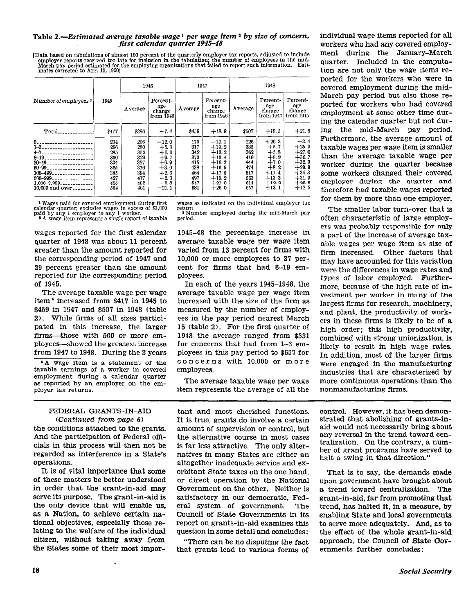### Table 2.—Estimated average taxable wage  $\frac{1}{2}$  per wage item  $\frac{1}{2}$  by size of concern, first calendar quarter 1945–48

[Data based on tabulations of almost 100 percent of the quarterly employer tax reports, adjusted to include employer reports received too late for inclusion in the tabulation; the number of employees in the mid-<br>March pay

| Number of employees <sup>3</sup>                                                                                                                                                                                             | 1945                                                               | 1946                                                               |                                                                                                    | 1947                                                               |                                                                                                            | 1948                                                               |                                                                                                       |                                                                                                           |
|------------------------------------------------------------------------------------------------------------------------------------------------------------------------------------------------------------------------------|--------------------------------------------------------------------|--------------------------------------------------------------------|----------------------------------------------------------------------------------------------------|--------------------------------------------------------------------|------------------------------------------------------------------------------------------------------------|--------------------------------------------------------------------|-------------------------------------------------------------------------------------------------------|-----------------------------------------------------------------------------------------------------------|
|                                                                                                                                                                                                                              |                                                                    | A verage                                                           | Percent-<br>age<br>change<br>from 1945                                                             | Average                                                            | Percent-<br>age<br>change<br>from 1946 l                                                                   | Average                                                            | Percent-<br>age<br>change<br>from 1947                                                                | Percent-<br>age<br>change<br>from 1945                                                                    |
| $Total$ <sub>-----------</sub>                                                                                                                                                                                               | \$417                                                              | \$386                                                              | $-7.4$                                                                                             | \$459                                                              | $+18.9$                                                                                                    | \$507                                                              | $+10.5$                                                                                               | $+21.6$                                                                                                   |
| $8 - 19.$<br>------------<br>$20 - 49$ .<br>-------------<br>$50 - 99$ .<br>and the control of the control of the<br>100-499.<br>. <b>.</b> .<br>500-999<br>. <b>.</b><br>$1.000 - 9.999 - 0.000 - 0.000$<br>10,000 and over | 234<br>266<br>285<br>300<br>334<br>365<br>385<br>427<br>485<br>584 | 206<br>280<br>302<br>329<br>357<br>376<br>394<br>417<br>452<br>461 | $-12.0$<br>$+5.3$<br>$+6.0$<br>$+9.7$<br>$+6.9$<br>$+3.0$<br>$+2.3$<br>$-2.3$<br>$-6.8$<br>$-21.1$ | 179<br>317<br>342<br>373<br>415<br>438<br>464<br>497<br>547<br>581 | $-13.1$<br>$+13.2$<br>$+13.2$<br>$+13.4$<br>$+16.2$<br>$+16.5$<br>$+17.8$<br>$+19.2$<br>$+21.0$<br>$+26.0$ | 226<br>335<br>362<br>410<br>444<br>474<br>517<br>563<br>614<br>657 | $+26.3$<br>$+5.7$<br>$+5.8$<br>$+9.9$<br>$+7.0$<br>$+8.2$<br>$+11.4$<br>$+13.3$<br>$+12.2$<br>$+13.1$ | $-3.4$<br>$+25.9$<br>$+27.0$<br>$+36.7$<br>$+32.9$<br>$+29.9$<br>$+34.3$<br>$+31.9$<br>$+26.6$<br>$+12.5$ |

1 Wages paid for covered employment during first<br>calendar quarter; excludes wages in excess of \$3,000<br>paid by any 1 employer to any 1 worker.

<sup>3</sup> A wage item represents a single report of taxable

wages reported for the first calendar quarter of 1948 was about 11 percent greater than the amount reported for the corresponding period of 1947 and 29 percent greater than the amount reported for the corresponding period of 1945.

The average taxable wage per wage item<sup>5</sup> increased from \$417 in 1945 to \$459 in 1947 and \$507 in 1948 (table 2). While firms of all sizes participated in this increase, the larger firms—those with 500 or more employees—showed the greatest increase from 1947 to 1948. During the 3 years

<sup>5</sup>A wage item is a statement of the taxable earnings of a worker in covered employment during a calendar quarter as reported by an employer on the emplover tax returns.

### FEDERAL GRANTS-IN-AID (Continued from page  $6$ )

the conditions attached to the grants. And the participation of Federal officials in this process will then not be regarded as interference in a State's operations.

It is of vital importance that some of these matters be better understood in order that the grant-in-aid may serve its purpose. The grant-in-aid is the only device that will enable us. as a Nation, to achieve certain national objectives, especially those relating to the welfare of the individual citizen, without taking away from the States some of their most imporwages as indicated on the individual employer tax

Number employed during the mid-March pay period.

1945-48 the percentage increase in average taxable wage per wage item varied from 13 percent for firms with 10.000 or more employees to 37 percent for firms that had 8-19 employees.

In each of the years 1945-1948, the average taxable wage per wage item increased with the size of the firm as measured by the number of employees in the pay period nearest March 15 (table 2). For the first quarter of 1948 the average ranged from \$331 for concerns that had from 1-3 employees in this pay period to \$657 for concerns with 10.000 or more employees.

The average taxable wage per wage item represents the average of all the

individual wage items reported for all workers who had any covered employment during the January-March quarter. Included in the computation are not only the wage items reported for the workers who were in covered employment during the mid-March pay period but also those reported for workers who had covered employment at some other time during the calendar quarter but not during the mid-March pay period. Furthermore, the average amount of taxable wages per wage item is smaller than the average taxable wage per worker during the quarter because some workers changed their covered employer during the quarter and therefore had taxable wages reported for them by more than one employer.

The smaller labor turn-over that is often characteristic of large employers was probably responsible for only a part of the increase of average taxable wages per wage item as size of firm increased. Other factors that may have accounted for this variation were the differences in wage rates and types of labor employed. Furthermore, because of the high rate of investment per worker in many of the largest firms for research, machinery, and plant, the productivity of workers in these firms is likely to be of a high order: this high productivity, combined with strong unionization, is likely to result in high wage rates. In addition, most of the larger firms were engaged in the manufacturing industries that are characterized by more continuous operations than the nonmanufacturing firms.

tant and most cherished functions. It is true, grants do involve a certain amount of supervision or control, but the alternative course in most cases is far less attractive. The only alternatives in many States are either an altogether inadequate service and exorbitant State taxes on the one hand. or direct operation by the National Government on the other. Neither is satisfactory in our democratic. Federal system of government. The Council of State Governments in its report on grants-in-aid examines this question in some detail and concludes:

"There can be no disputing the fact that grants lead to various forms of control. However, it has been demonstrated that abolishing of grants-inaid would not necessarily bring about any reversal in the trend toward centralization. On the contrary, a number of grant programs have served to halt a swing in that direction."

That is to say, the demands made upon government have brought about a trend toward centralization. The grant-in-aid, far from promoting that trend, has halted it, in a measure, by enabling State and local governments to serve more adequately. And, as to the effect of the whole grant-in-aid approach, the Council of State Governments further concludes: